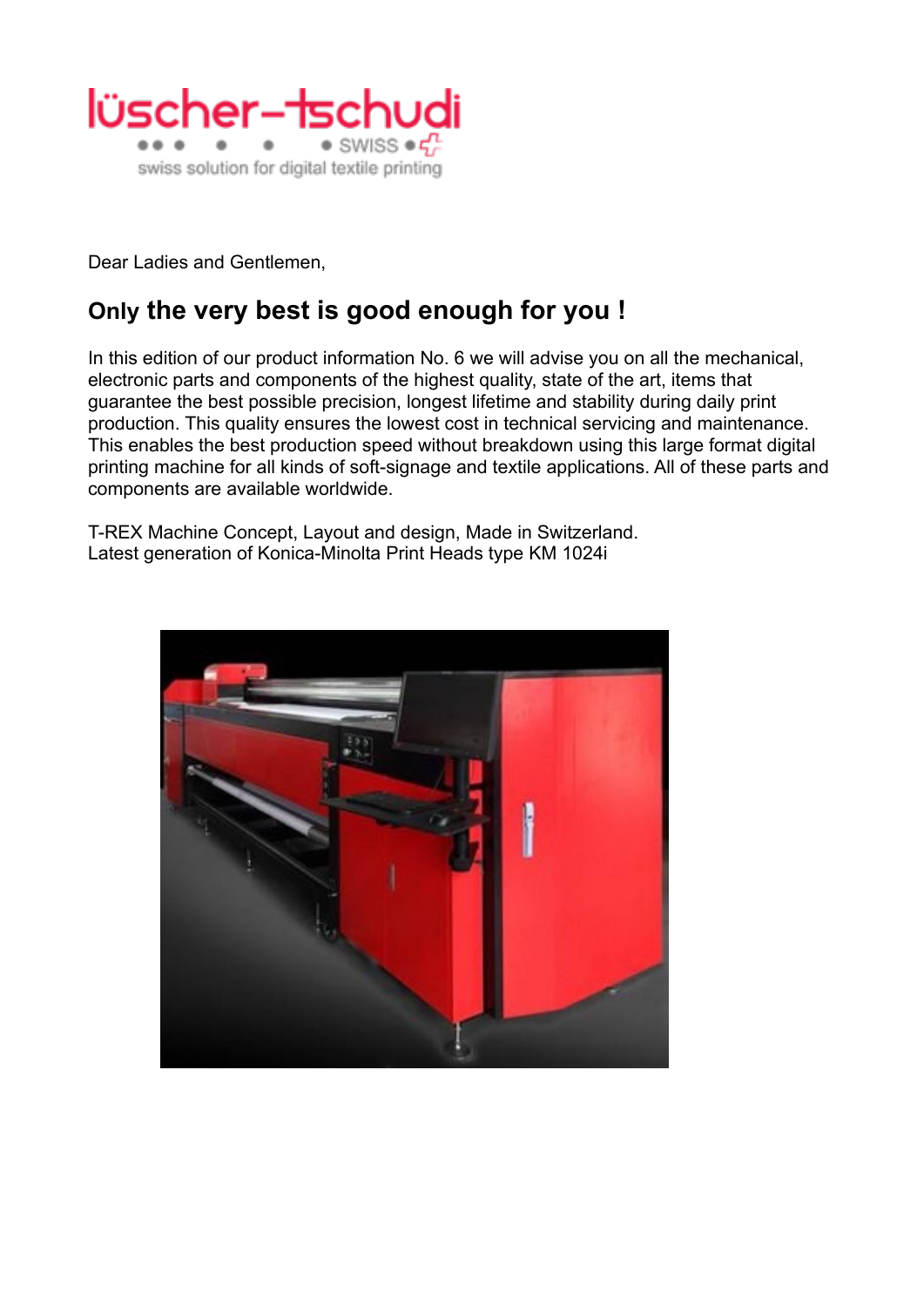

Dear Ladies and Gentlemen,

## **Only the very best is good enough for you !**

In this edition of our product information No. 6 we will advise you on all the mechanical, electronic parts and components of the highest quality, state of the art, items that guarantee the best possible precision, longest lifetime and stability during daily print production. This quality ensures the lowest cost in technical servicing and maintenance. This enables the best production speed without breakdown using this large format digital printing machine for all kinds of soft-signage and textile applications. All of these parts and components are available worldwide.

T-REX Machine Concept, Layout and design, Made in Switzerland. Latest generation of Konica-Minolta Print Heads type KM 1024i

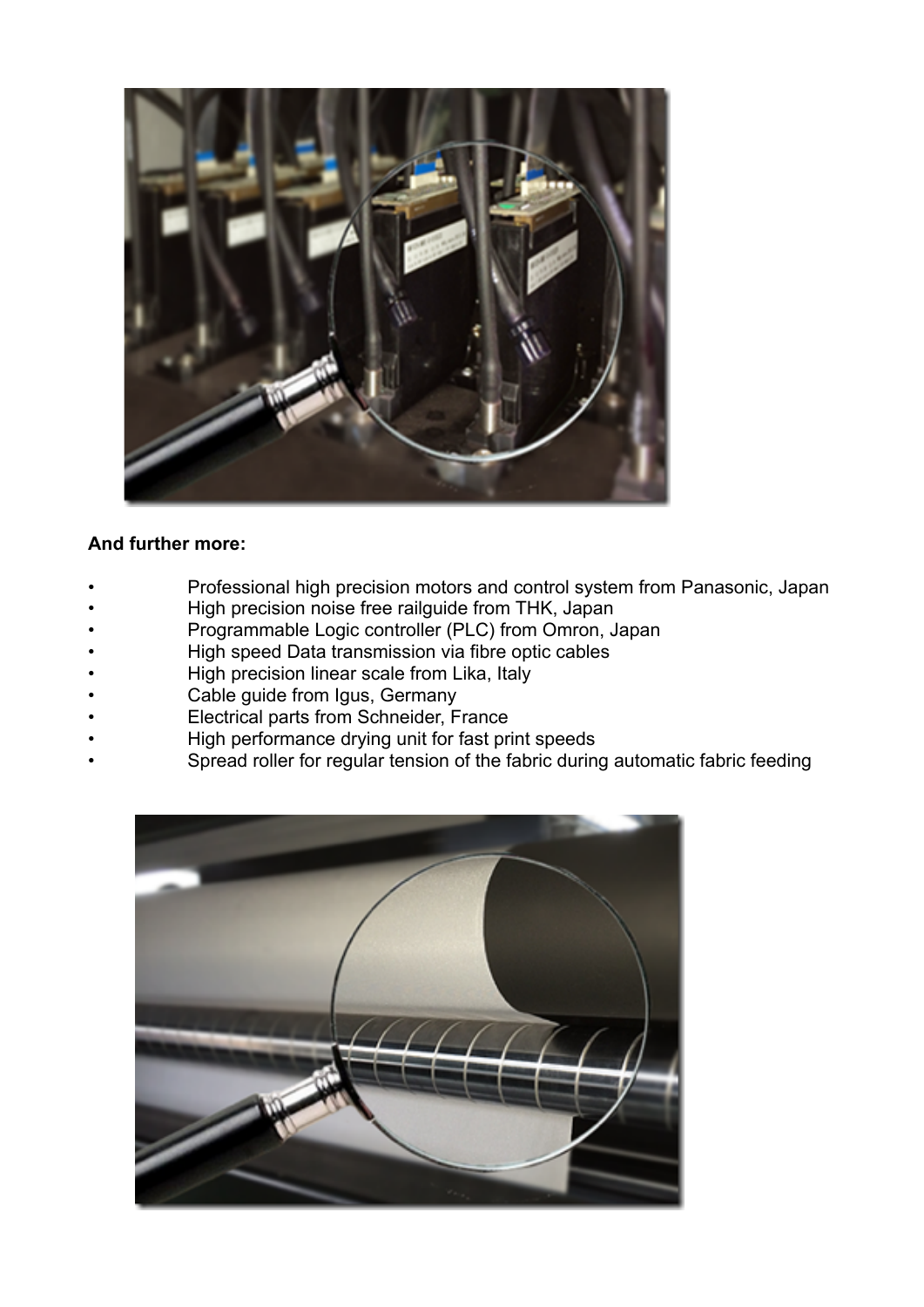

## **And further more:**

- Professional high precision motors and control system from Panasonic, Japan
- High precision noise free railguide from THK, Japan
- Programmable Logic controller (PLC) from Omron, Japan
- High speed Data transmission via fibre optic cables
- High precision linear scale from Lika, Italy
- Cable guide from Igus, Germany
- Electrical parts from Schneider, France
- High performance drying unit for fast print speeds
- Spread roller for regular tension of the fabric during automatic fabric feeding

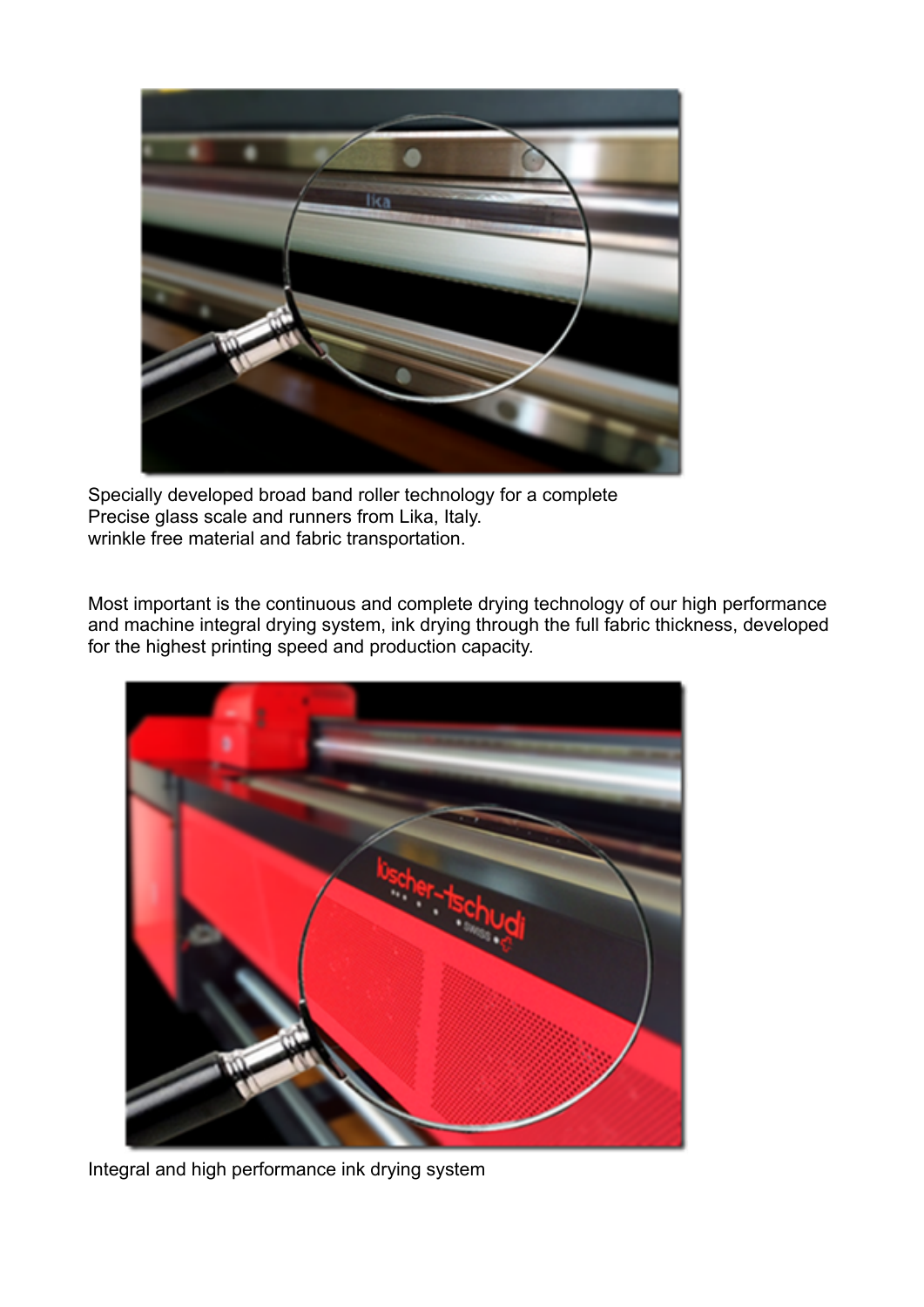

Specially developed broad band roller technology for a complete Precise glass scale and runners from Lika, Italy. wrinkle free material and fabric transportation.

Most important is the continuous and complete drying technology of our high performance and machine integral drying system, ink drying through the full fabric thickness, developed for the highest printing speed and production capacity.



Integral and high performance ink drying system